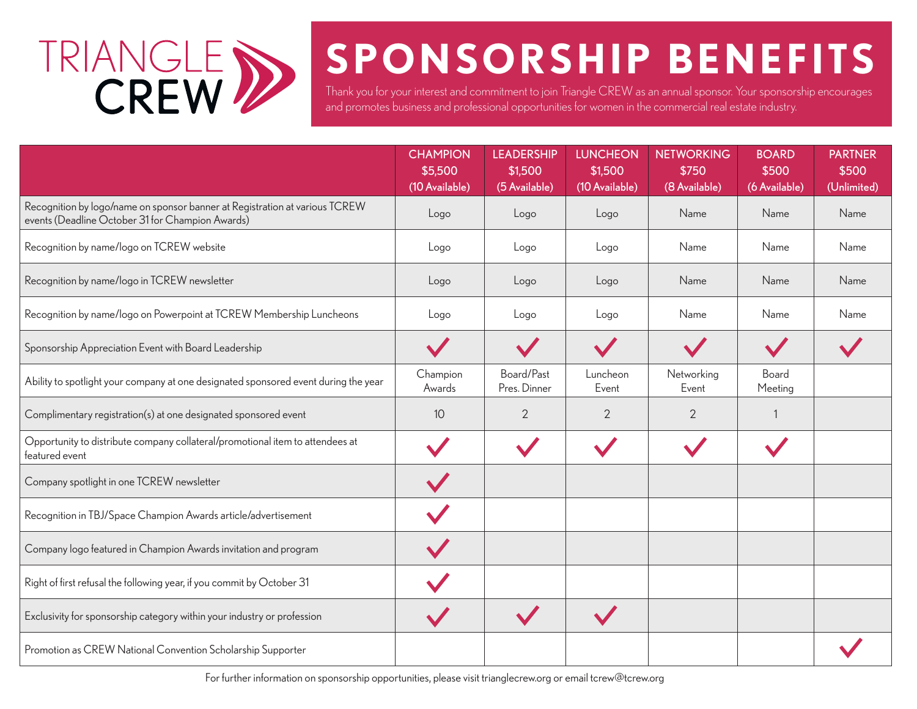

## **SPONSORSHIP BENEFITS**

Thank you for your interest and commitment to join Triangle CREW as an annual sponsor. Your sponsorship encourages and promotes business and professional opportunities for women in the commercial real estate industry.

|                                                                                                                                 | <b>CHAMPION</b><br>\$5,500<br>(10 Available) | <b>LEADERSHIP</b><br>\$1,500<br>(5 Available) | <b>LUNCHEON</b><br>\$1,500<br>(10 Available) | <b>NETWORKING</b><br>\$750<br>(8 Available) | <b>BOARD</b><br>\$500<br>(6 Available) | <b>PARTNER</b><br>\$500<br>(Unlimited) |
|---------------------------------------------------------------------------------------------------------------------------------|----------------------------------------------|-----------------------------------------------|----------------------------------------------|---------------------------------------------|----------------------------------------|----------------------------------------|
| Recognition by logo/name on sponsor banner at Registration at various TCREW<br>events (Deadline October 31 for Champion Awards) | Logo                                         | Logo                                          | Logo                                         | Name                                        | Name                                   | Name                                   |
| Recognition by name/logo on TCREW website                                                                                       | Logo                                         | Logo                                          | Logo                                         | Name                                        | Name                                   | Name                                   |
| Recognition by name/logo in TCREW newsletter                                                                                    | Logo                                         | Logo                                          | Logo                                         | Name                                        | Name                                   | Name                                   |
| Recognition by name/logo on Powerpoint at TCREW Membership Luncheons                                                            | Logo                                         | Logo                                          | Logo                                         | Name                                        | Name                                   | Name                                   |
| Sponsorship Appreciation Event with Board Leadership                                                                            |                                              |                                               |                                              |                                             |                                        |                                        |
| Ability to spotlight your company at one designated sponsored event during the year                                             | Champion<br>Awards                           | Board/Past<br>Pres. Dinner                    | Luncheon<br>Event                            | Networking<br>Event                         | Board<br>Meeting                       |                                        |
| Complimentary registration(s) at one designated sponsored event                                                                 | 10 <sup>°</sup>                              | $\overline{2}$                                | $\overline{2}$                               | $\overline{2}$                              |                                        |                                        |
| Opportunity to distribute company collateral/promotional item to attendees at<br>featured event                                 |                                              |                                               |                                              |                                             |                                        |                                        |
| Company spotlight in one TCREW newsletter                                                                                       |                                              |                                               |                                              |                                             |                                        |                                        |
| Recognition in TBJ/Space Champion Awards article/advertisement                                                                  |                                              |                                               |                                              |                                             |                                        |                                        |
| Company logo featured in Champion Awards invitation and program                                                                 |                                              |                                               |                                              |                                             |                                        |                                        |
| Right of first refusal the following year, if you commit by October 31                                                          |                                              |                                               |                                              |                                             |                                        |                                        |
| Exclusivity for sponsorship category within your industry or profession                                                         |                                              |                                               |                                              |                                             |                                        |                                        |
| Promotion as CREW National Convention Scholarship Supporter                                                                     |                                              |                                               |                                              |                                             |                                        |                                        |